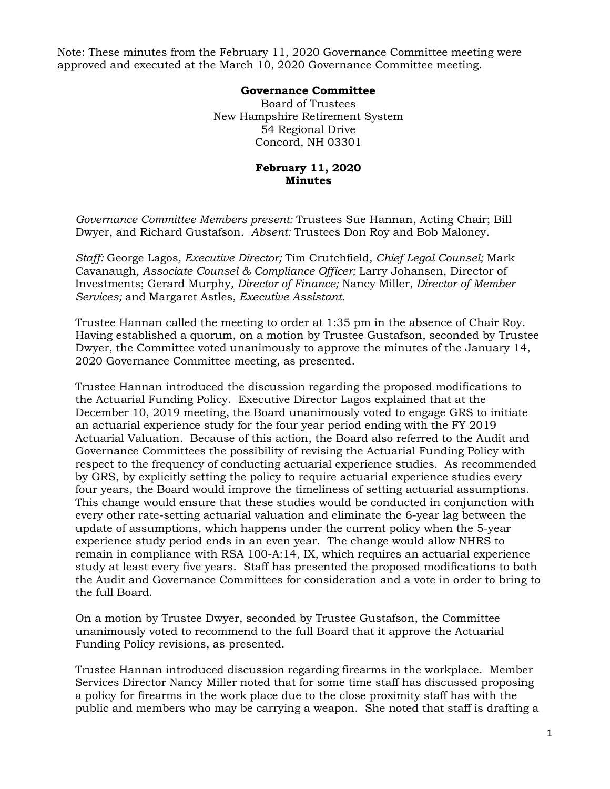Note: These minutes from the February 11, 2020 Governance Committee meeting were approved and executed at the March 10, 2020 Governance Committee meeting.

## **Governance Committee**

Board of Trustees New Hampshire Retirement System 54 Regional Drive Concord, NH 03301

## **February 11, 2020 Minutes**

*Governance Committee Members present:* Trustees Sue Hannan, Acting Chair; Bill Dwyer, and Richard Gustafson. *Absent:* Trustees Don Roy and Bob Maloney.

*Staff:* George Lagos*, Executive Director;* Tim Crutchfield*, Chief Legal Counsel;* Mark Cavanaugh*, Associate Counsel & Compliance Officer;* Larry Johansen, Director of Investments; Gerard Murphy*, Director of Finance;* Nancy Miller, *Director of Member Services;* and Margaret Astles*, Executive Assistant.* 

Trustee Hannan called the meeting to order at 1:35 pm in the absence of Chair Roy. Having established a quorum, on a motion by Trustee Gustafson, seconded by Trustee Dwyer, the Committee voted unanimously to approve the minutes of the January 14, 2020 Governance Committee meeting, as presented.

Trustee Hannan introduced the discussion regarding the proposed modifications to the Actuarial Funding Policy. Executive Director Lagos explained that at the December 10, 2019 meeting, the Board unanimously voted to engage GRS to initiate an actuarial experience study for the four year period ending with the FY 2019 Actuarial Valuation. Because of this action, the Board also referred to the Audit and Governance Committees the possibility of revising the Actuarial Funding Policy with respect to the frequency of conducting actuarial experience studies. As recommended by GRS, by explicitly setting the policy to require actuarial experience studies every four years, the Board would improve the timeliness of setting actuarial assumptions. This change would ensure that these studies would be conducted in conjunction with every other rate-setting actuarial valuation and eliminate the 6-year lag between the update of assumptions, which happens under the current policy when the 5-year experience study period ends in an even year. The change would allow NHRS to remain in compliance with RSA 100-A:14, IX, which requires an actuarial experience study at least every five years. Staff has presented the proposed modifications to both the Audit and Governance Committees for consideration and a vote in order to bring to the full Board.

On a motion by Trustee Dwyer, seconded by Trustee Gustafson, the Committee unanimously voted to recommend to the full Board that it approve the Actuarial Funding Policy revisions, as presented.

Trustee Hannan introduced discussion regarding firearms in the workplace. Member Services Director Nancy Miller noted that for some time staff has discussed proposing a policy for firearms in the work place due to the close proximity staff has with the public and members who may be carrying a weapon. She noted that staff is drafting a